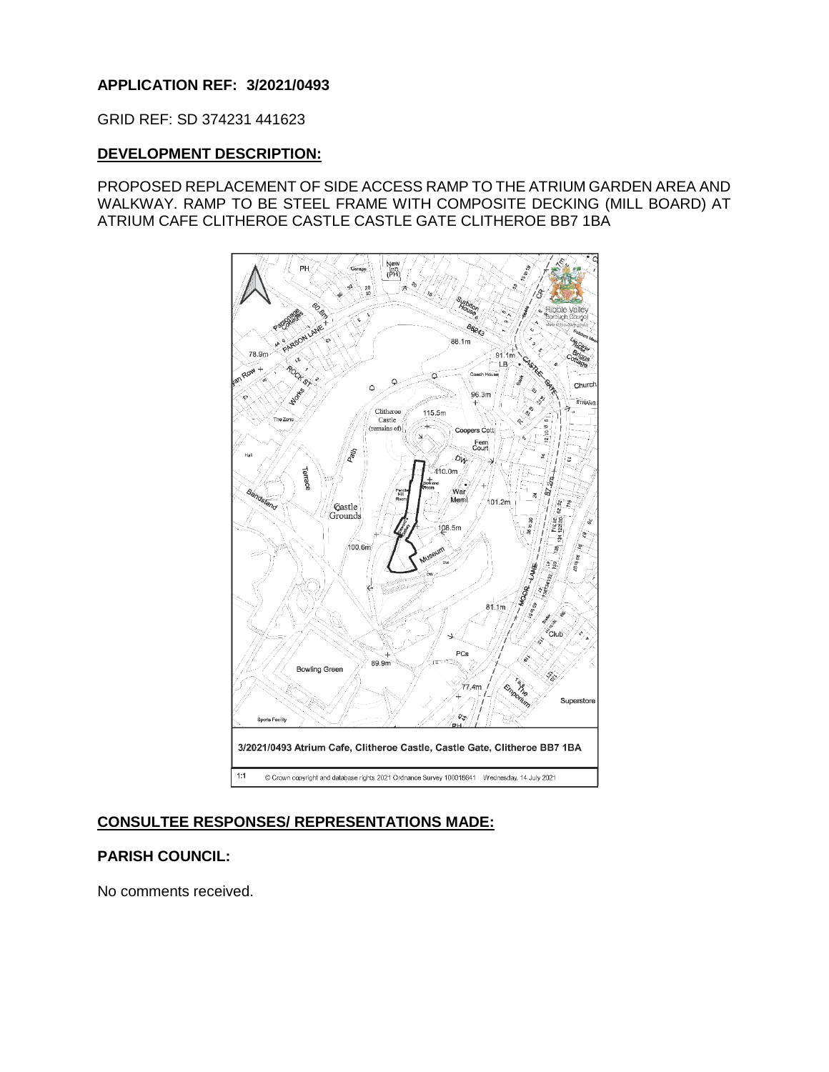## **APPLICATION REF: 3/2021/0493**

GRID REF: SD 374231 441623

### **DEVELOPMENT DESCRIPTION:**

PROPOSED REPLACEMENT OF SIDE ACCESS RAMP TO THE ATRIUM GARDEN AREA AND WALKWAY. RAMP TO BE STEEL FRAME WITH COMPOSITE DECKING (MILL BOARD) AT ATRIUM CAFE CLITHEROE CASTLE CASTLE GATE CLITHEROE BB7 1BA



# **CONSULTEE RESPONSES/ REPRESENTATIONS MADE:**

## **PARISH COUNCIL:**

No comments received.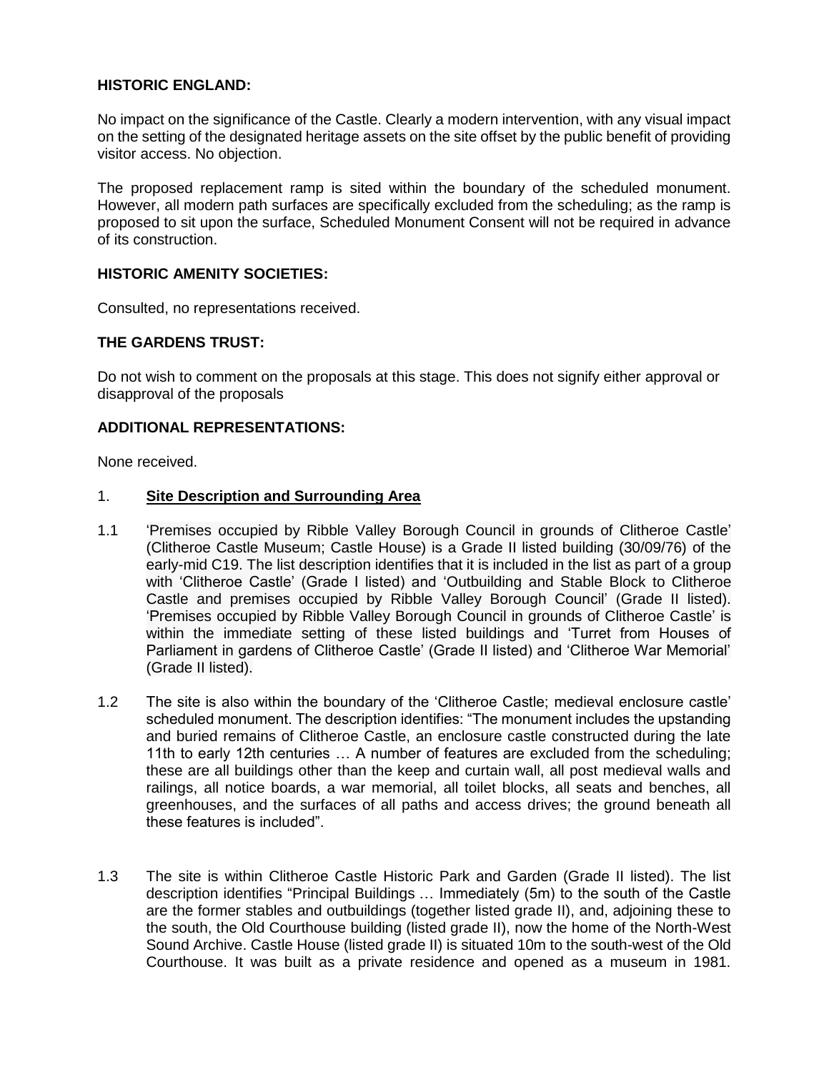## **HISTORIC ENGLAND:**

No impact on the significance of the Castle. Clearly a modern intervention, with any visual impact on the setting of the designated heritage assets on the site offset by the public benefit of providing visitor access. No objection.

The proposed replacement ramp is sited within the boundary of the scheduled monument. However, all modern path surfaces are specifically excluded from the scheduling; as the ramp is proposed to sit upon the surface, Scheduled Monument Consent will not be required in advance of its construction.

#### **HISTORIC AMENITY SOCIETIES:**

Consulted, no representations received.

## **THE GARDENS TRUST:**

Do not wish to comment on the proposals at this stage. This does not signify either approval or disapproval of the proposals

### **ADDITIONAL REPRESENTATIONS:**

None received.

#### 1. **Site Description and Surrounding Area**

- 1.1 'Premises occupied by Ribble Valley Borough Council in grounds of Clitheroe Castle' (Clitheroe Castle Museum; Castle House) is a Grade II listed building (30/09/76) of the early-mid C19. The list description identifies that it is included in the list as part of a group with 'Clitheroe Castle' (Grade I listed) and 'Outbuilding and Stable Block to Clitheroe Castle and premises occupied by Ribble Valley Borough Council' (Grade II listed). 'Premises occupied by Ribble Valley Borough Council in grounds of Clitheroe Castle' is within the immediate setting of these listed buildings and 'Turret from Houses of Parliament in gardens of Clitheroe Castle' (Grade II listed) and 'Clitheroe War Memorial' (Grade II listed).
- 1.2 The site is also within the boundary of the 'Clitheroe Castle; medieval enclosure castle' scheduled monument. The description identifies: "The monument includes the upstanding and buried remains of Clitheroe Castle, an enclosure castle constructed during the late 11th to early 12th centuries … A number of features are excluded from the scheduling; these are all buildings other than the keep and curtain wall, all post medieval walls and railings, all notice boards, a war memorial, all toilet blocks, all seats and benches, all greenhouses, and the surfaces of all paths and access drives; the ground beneath all these features is included".
- 1.3 The site is within Clitheroe Castle Historic Park and Garden (Grade II listed). The list description identifies "Principal Buildings … Immediately (5m) to the south of the Castle are the former stables and outbuildings (together listed grade II), and, adjoining these to the south, the Old Courthouse building (listed grade II), now the home of the North-West Sound Archive. Castle House (listed grade II) is situated 10m to the south-west of the Old Courthouse. It was built as a private residence and opened as a museum in 1981.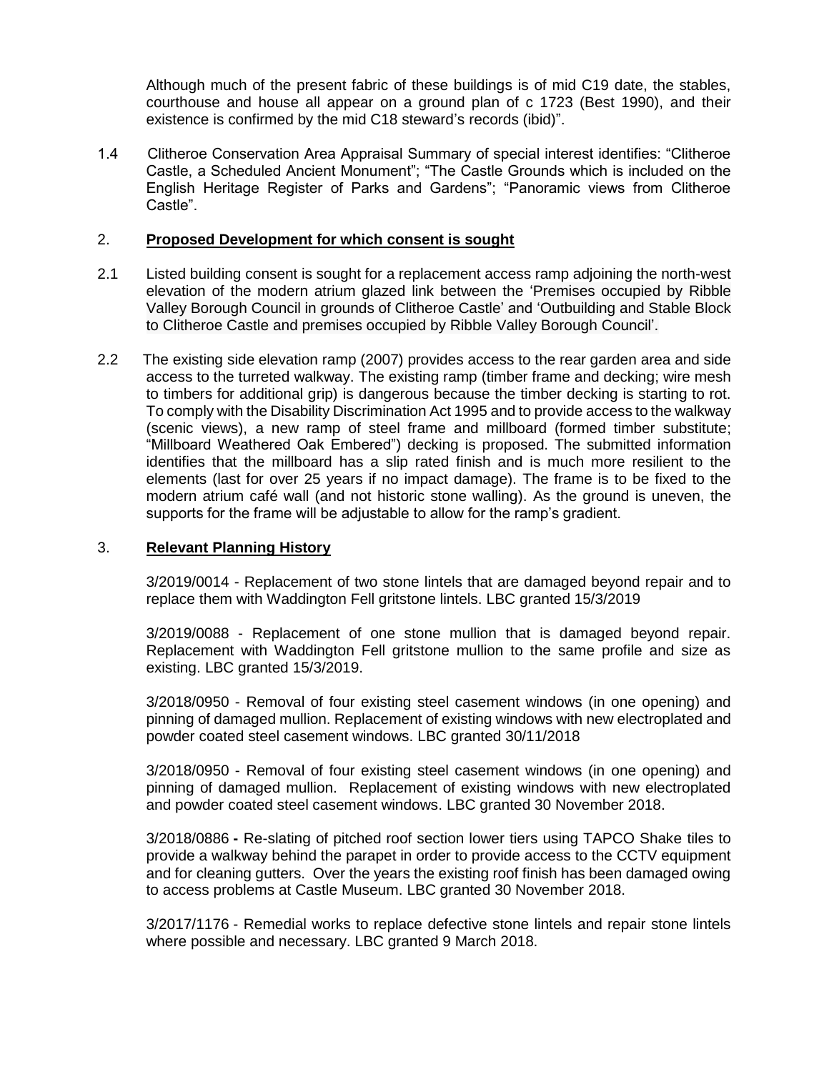Although much of the present fabric of these buildings is of mid C19 date, the stables, courthouse and house all appear on a ground plan of c 1723 (Best 1990), and their existence is confirmed by the mid C18 steward's records (ibid)".

1.4 Clitheroe Conservation Area Appraisal Summary of special interest identifies: "Clitheroe Castle, a Scheduled Ancient Monument"; "The Castle Grounds which is included on the English Heritage Register of Parks and Gardens"; "Panoramic views from Clitheroe Castle".

### 2. **Proposed Development for which consent is sought**

- 2.1 Listed building consent is sought for a replacement access ramp adjoining the north-west elevation of the modern atrium glazed link between the 'Premises occupied by Ribble Valley Borough Council in grounds of Clitheroe Castle' and 'Outbuilding and Stable Block to Clitheroe Castle and premises occupied by Ribble Valley Borough Council'.
- 2.2 The existing side elevation ramp (2007) provides access to the rear garden area and side access to the turreted walkway. The existing ramp (timber frame and decking; wire mesh to timbers for additional grip) is dangerous because the timber decking is starting to rot. To comply with the Disability Discrimination Act 1995 and to provide access to the walkway (scenic views), a new ramp of steel frame and millboard (formed timber substitute; "Millboard Weathered Oak Embered") decking is proposed. The submitted information identifies that the millboard has a slip rated finish and is much more resilient to the elements (last for over 25 years if no impact damage). The frame is to be fixed to the modern atrium café wall (and not historic stone walling). As the ground is uneven, the supports for the frame will be adjustable to allow for the ramp's gradient.

#### 3. **Relevant Planning History**

3/2019/0014 - Replacement of two stone lintels that are damaged beyond repair and to replace them with Waddington Fell gritstone lintels. LBC granted 15/3/2019

3/2019/0088 - Replacement of one stone mullion that is damaged beyond repair. Replacement with Waddington Fell gritstone mullion to the same profile and size as existing. LBC granted 15/3/2019.

3/2018/0950 - Removal of four existing steel casement windows (in one opening) and pinning of damaged mullion. Replacement of existing windows with new electroplated and powder coated steel casement windows. LBC granted 30/11/2018

3/2018/0950 - Removal of four existing steel casement windows (in one opening) and pinning of damaged mullion. Replacement of existing windows with new electroplated and powder coated steel casement windows. LBC granted 30 November 2018.

3/2018/0886 **-** Re-slating of pitched roof section lower tiers using TAPCO Shake tiles to provide a walkway behind the parapet in order to provide access to the CCTV equipment and for cleaning gutters. Over the years the existing roof finish has been damaged owing to access problems at Castle Museum. LBC granted 30 November 2018.

3/2017/1176 - Remedial works to replace defective stone lintels and repair stone lintels where possible and necessary. LBC granted 9 March 2018.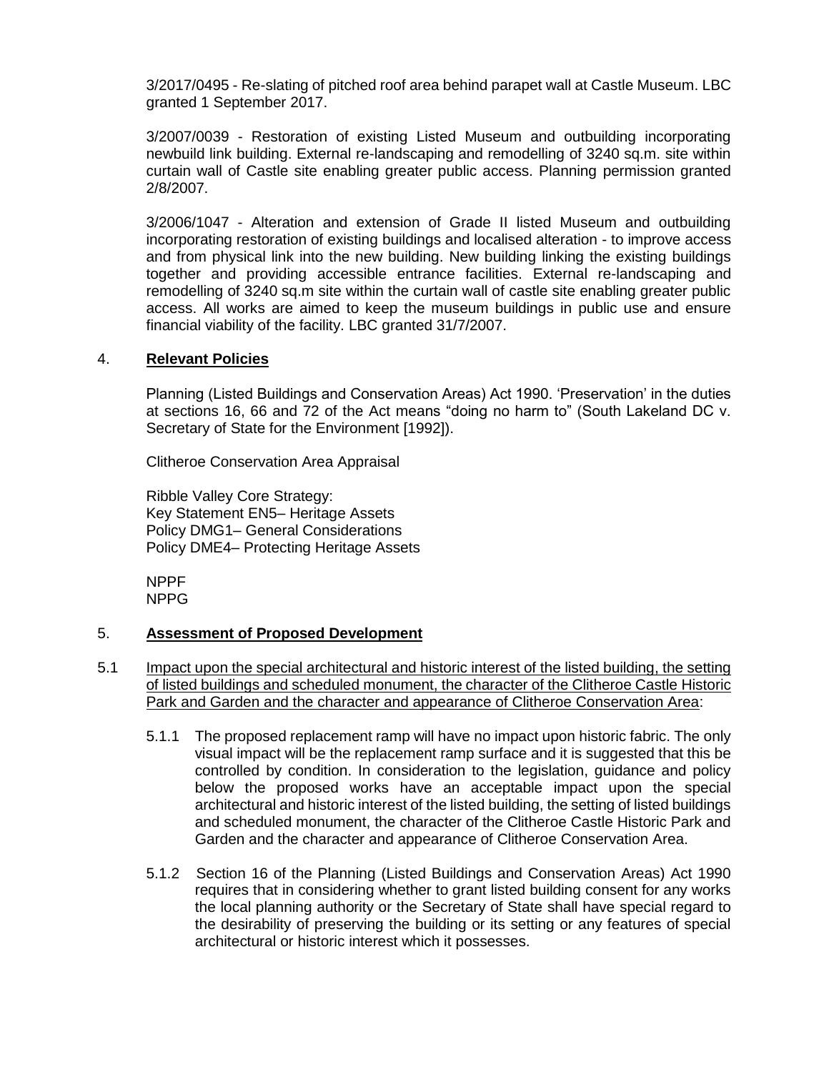3/2017/0495 - Re-slating of pitched roof area behind parapet wall at Castle Museum. LBC granted 1 September 2017.

3/2007/0039 - Restoration of existing Listed Museum and outbuilding incorporating newbuild link building. External re-landscaping and remodelling of 3240 sq.m. site within curtain wall of Castle site enabling greater public access. Planning permission granted 2/8/2007.

3/2006/1047 - Alteration and extension of Grade II listed Museum and outbuilding incorporating restoration of existing buildings and localised alteration - to improve access and from physical link into the new building. New building linking the existing buildings together and providing accessible entrance facilities. External re-landscaping and remodelling of 3240 sq.m site within the curtain wall of castle site enabling greater public access. All works are aimed to keep the museum buildings in public use and ensure financial viability of the facility. LBC granted 31/7/2007.

#### 4. **Relevant Policies**

Planning (Listed Buildings and Conservation Areas) Act 1990. 'Preservation' in the duties at sections 16, 66 and 72 of the Act means "doing no harm to" (South Lakeland DC v. Secretary of State for the Environment [1992]).

Clitheroe Conservation Area Appraisal

Ribble Valley Core Strategy: Key Statement EN5– Heritage Assets Policy DMG1– General Considerations Policy DME4– Protecting Heritage Assets

NPPF NPPG

#### 5. **Assessment of Proposed Development**

- 5.1 Impact upon the special architectural and historic interest of the listed building, the setting of listed buildings and scheduled monument, the character of the Clitheroe Castle Historic Park and Garden and the character and appearance of Clitheroe Conservation Area:
	- 5.1.1 The proposed replacement ramp will have no impact upon historic fabric. The only visual impact will be the replacement ramp surface and it is suggested that this be controlled by condition. In consideration to the legislation, guidance and policy below the proposed works have an acceptable impact upon the special architectural and historic interest of the listed building, the setting of listed buildings and scheduled monument, the character of the Clitheroe Castle Historic Park and Garden and the character and appearance of Clitheroe Conservation Area.
	- 5.1.2 Section 16 of the Planning (Listed Buildings and Conservation Areas) Act 1990 requires that in considering whether to grant listed building consent for any works the local planning authority or the Secretary of State shall have special regard to the desirability of preserving the building or its setting or any features of special architectural or historic interest which it possesses.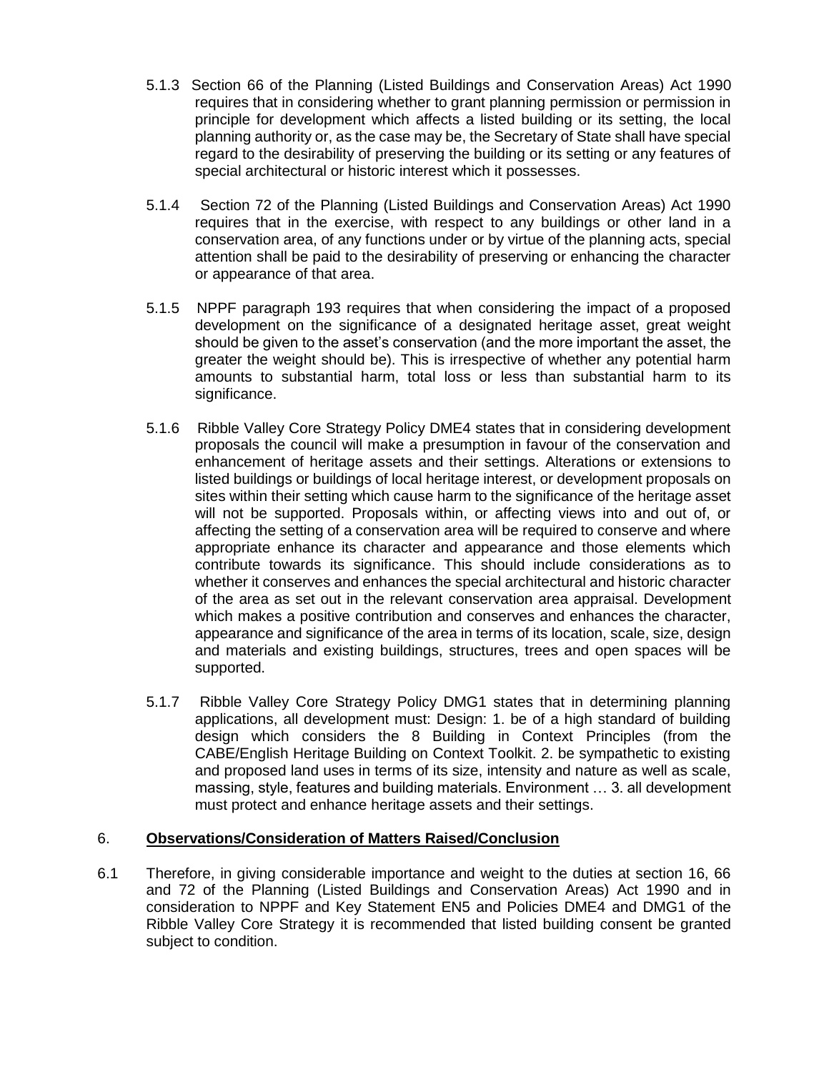- 5.1.3 Section 66 of the Planning (Listed Buildings and Conservation Areas) Act 1990 requires that in considering whether to grant planning permission or permission in principle for development which affects a listed building or its setting, the local planning authority or, as the case may be, the Secretary of State shall have special regard to the desirability of preserving the building or its setting or any features of special architectural or historic interest which it possesses.
- 5.1.4 Section 72 of the Planning (Listed Buildings and Conservation Areas) Act 1990 requires that in the exercise, with respect to any buildings or other land in a conservation area, of any functions under or by virtue of the planning acts, special attention shall be paid to the desirability of preserving or enhancing the character or appearance of that area.
- 5.1.5 NPPF paragraph 193 requires that when considering the impact of a proposed development on the significance of a designated heritage asset, great weight should be given to the asset's conservation (and the more important the asset, the greater the weight should be). This is irrespective of whether any potential harm amounts to substantial harm, total loss or less than substantial harm to its significance.
- 5.1.6 Ribble Valley Core Strategy Policy DME4 states that in considering development proposals the council will make a presumption in favour of the conservation and enhancement of heritage assets and their settings. Alterations or extensions to listed buildings or buildings of local heritage interest, or development proposals on sites within their setting which cause harm to the significance of the heritage asset will not be supported. Proposals within, or affecting views into and out of, or affecting the setting of a conservation area will be required to conserve and where appropriate enhance its character and appearance and those elements which contribute towards its significance. This should include considerations as to whether it conserves and enhances the special architectural and historic character of the area as set out in the relevant conservation area appraisal. Development which makes a positive contribution and conserves and enhances the character, appearance and significance of the area in terms of its location, scale, size, design and materials and existing buildings, structures, trees and open spaces will be supported.
- 5.1.7 Ribble Valley Core Strategy Policy DMG1 states that in determining planning applications, all development must: Design: 1. be of a high standard of building design which considers the 8 Building in Context Principles (from the CABE/English Heritage Building on Context Toolkit. 2. be sympathetic to existing and proposed land uses in terms of its size, intensity and nature as well as scale, massing, style, features and building materials. Environment … 3. all development must protect and enhance heritage assets and their settings.

## 6. **Observations/Consideration of Matters Raised/Conclusion**

6.1 Therefore, in giving considerable importance and weight to the duties at section 16, 66 and 72 of the Planning (Listed Buildings and Conservation Areas) Act 1990 and in consideration to NPPF and Key Statement EN5 and Policies DME4 and DMG1 of the Ribble Valley Core Strategy it is recommended that listed building consent be granted subject to condition.